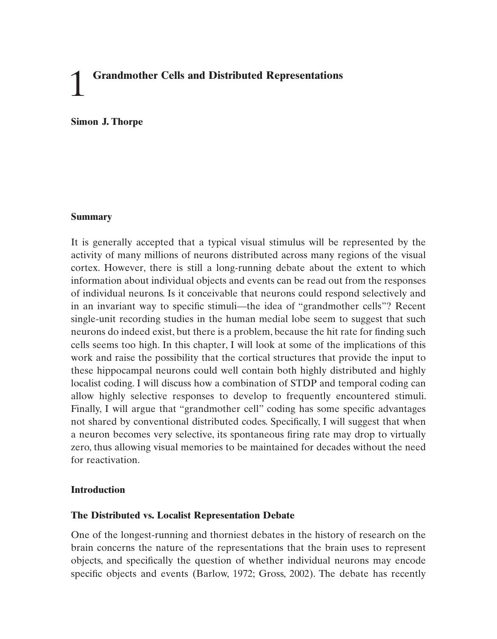# **Grandmother Cells and Distributed Representations**  1

## **Simon J. Thorpe**

## **Summary**

 It is generally accepted that a typical visual stimulus will be represented by the activity of many millions of neurons distributed across many regions of the visual cortex. However, there is still a long-running debate about the extent to which information about individual objects and events can be read out from the responses of individual neurons. Is it conceivable that neurons could respond selectively and in an invariant way to specific stimuli—the idea of "grandmother cells"? Recent single-unit recording studies in the human medial lobe seem to suggest that such neurons do indeed exist, but there is a problem, because the hit rate for finding such cells seems too high. In this chapter, I will look at some of the implications of this work and raise the possibility that the cortical structures that provide the input to these hippocampal neurons could well contain both highly distributed and highly localist coding. I will discuss how a combination of STDP and temporal coding can allow highly selective responses to develop to frequently encountered stimuli. Finally, I will argue that "grandmother cell" coding has some specific advantages not shared by conventional distributed codes. Specifically, I will suggest that when a neuron becomes very selective, its spontaneous firing rate may drop to virtually zero, thus allowing visual memories to be maintained for decades without the need for reactivation.

#### **Introduction**

## **The Distributed vs. Localist Representation Debate**

 One of the longest-running and thorniest debates in the history of research on the brain concerns the nature of the representations that the brain uses to represent objects, and specifically the question of whether individual neurons may encode specific objects and events (Barlow, 1972; Gross, 2002). The debate has recently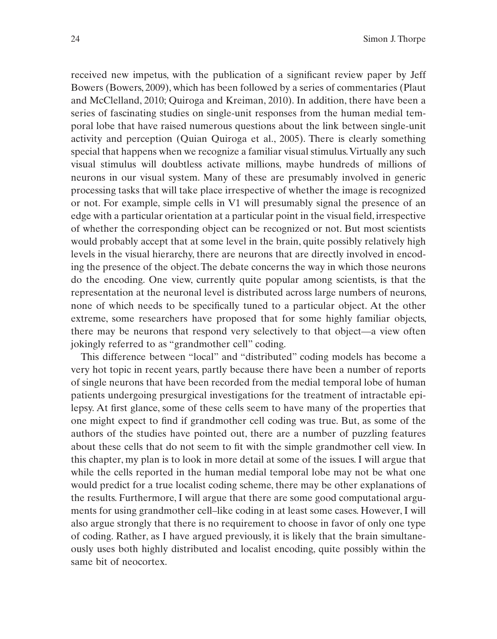received new impetus, with the publication of a significant review paper by Jeff Bowers (Bowers, 2009), which has been followed by a series of commentaries (Plaut and McClelland, 2010; Quiroga and Kreiman, 2010). In addition, there have been a series of fascinating studies on single-unit responses from the human medial temporal lobe that have raised numerous questions about the link between single-unit activity and perception (Quian Quiroga et al., 2005). There is clearly something special that happens when we recognize a familiar visual stimulus. Virtually any such visual stimulus will doubtless activate millions, maybe hundreds of millions of neurons in our visual system. Many of these are presumably involved in generic processing tasks that will take place irrespective of whether the image is recognized or not. For example, simple cells in V1 will presumably signal the presence of an edge with a particular orientation at a particular point in the visual field, irrespective of whether the corresponding object can be recognized or not. But most scientists would probably accept that at some level in the brain, quite possibly relatively high levels in the visual hierarchy, there are neurons that are directly involved in encoding the presence of the object. The debate concerns the way in which those neurons do the encoding. One view, currently quite popular among scientists, is that the representation at the neuronal level is distributed across large numbers of neurons, none of which needs to be specifically tuned to a particular object. At the other extreme, some researchers have proposed that for some highly familiar objects, there may be neurons that respond very selectively to that object—a view often jokingly referred to as "grandmother cell" coding.

This difference between "local" and "distributed" coding models has become a very hot topic in recent years, partly because there have been a number of reports of single neurons that have been recorded from the medial temporal lobe of human patients undergoing presurgical investigations for the treatment of intractable epilepsy. At first glance, some of these cells seem to have many of the properties that one might expect to find if grandmother cell coding was true. But, as some of the authors of the studies have pointed out, there are a number of puzzling features about these cells that do not seem to fit with the simple grandmother cell view. In this chapter, my plan is to look in more detail at some of the issues. I will argue that while the cells reported in the human medial temporal lobe may not be what one would predict for a true localist coding scheme, there may be other explanations of the results. Furthermore, I will argue that there are some good computational arguments for using grandmother cell-like coding in at least some cases. However, I will also argue strongly that there is no requirement to choose in favor of only one type of coding. Rather, as I have argued previously, it is likely that the brain simultaneously uses both highly distributed and localist encoding, quite possibly within the same bit of neocortex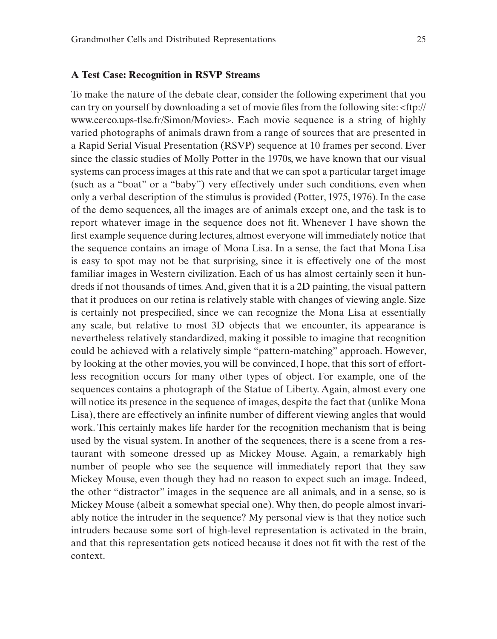#### **A Test Case: Recognition in RSVP Streams**

 To make the nature of the debate clear, consider the following experiment that you can try on yourself by downloading a set of movie files from the following site:  $\langle \text{ftp} \rangle / \langle \text{ftp} \rangle$ www.cerco.ups-tlse.fr/Simon/Movies>. Each movie sequence is a string of highly varied photographs of animals drawn from a range of sources that are presented in a Rapid Serial Visual Presentation (RSVP) sequence at 10 frames per second. Ever since the classic studies of Molly Potter in the 1970s, we have known that our visual systems can process images at this rate and that we can spot a particular target image (such as a "boat" or a "baby") very effectively under such conditions, even when only a verbal description of the stimulus is provided (Potter, 1975, 1976). In the case of the demo sequences, all the images are of animals except one, and the task is to report whatever image in the sequence does not fit. Whenever I have shown the first example sequence during lectures, almost everyone will immediately notice that the sequence contains an image of Mona Lisa. In a sense, the fact that Mona Lisa is easy to spot may not be that surprising, since it is effectively one of the most familiar images in Western civilization. Each of us has almost certainly seen it hundreds if not thousands of times. And, given that it is a 2D painting, the visual pattern that it produces on our retina is relatively stable with changes of viewing angle. Size is certainly not prespecified, since we can recognize the Mona Lisa at essentially any scale, but relative to most 3D objects that we encounter, its appearance is nevertheless relatively standardized, making it possible to imagine that recognition could be achieved with a relatively simple "pattern-matching" approach. However, by looking at the other movies, you will be convinced, I hope, that this sort of effortless recognition occurs for many other types of object. For example, one of the sequences contains a photograph of the Statue of Liberty. Again, almost every one will notice its presence in the sequence of images, despite the fact that (unlike Mona Lisa), there are effectively an infinite number of different viewing angles that would work. This certainly makes life harder for the recognition mechanism that is being used by the visual system. In another of the sequences, there is a scene from a restaurant with someone dressed up as Mickey Mouse. Again, a remarkably high number of people who see the sequence will immediately report that they saw Mickey Mouse, even though they had no reason to expect such an image. Indeed, the other "distractor" images in the sequence are all animals, and in a sense, so is Mickey Mouse (albeit a somewhat special one). Why then, do people almost invariably notice the intruder in the sequence? My personal view is that they notice such intruders because some sort of high-level representation is activated in the brain, and that this representation gets noticed because it does not fi t with the rest of the context.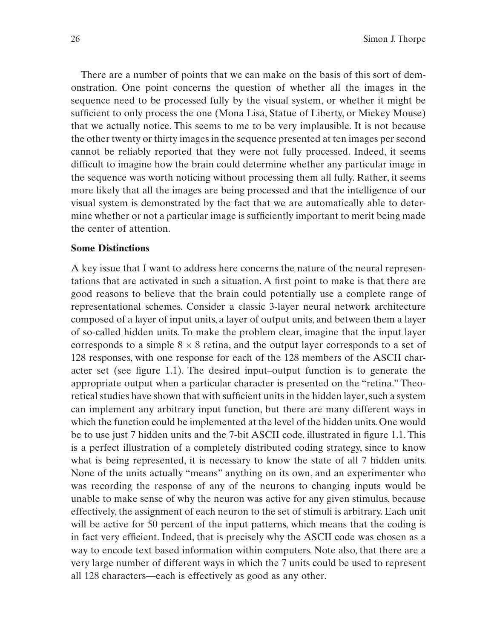There are a number of points that we can make on the basis of this sort of demonstration. One point concerns the question of whether all the images in the sequence need to be processed fully by the visual system, or whether it might be sufficient to only process the one (Mona Lisa, Statue of Liberty, or Mickey Mouse) that we actually notice. This seems to me to be very implausible. It is not because the other twenty or thirty images in the sequence presented at ten images per second cannot be reliably reported that they were not fully processed. Indeed, it seems difficult to imagine how the brain could determine whether any particular image in the sequence was worth noticing without processing them all fully. Rather, it seems more likely that all the images are being processed and that the intelligence of our visual system is demonstrated by the fact that we are automatically able to determine whether or not a particular image is sufficiently important to merit being made the center of attention.

#### **Some Distinctions**

 A key issue that I want to address here concerns the nature of the neural representations that are activated in such a situation. A first point to make is that there are good reasons to believe that the brain could potentially use a complete range of representational schemes. Consider a classic 3-layer neural network architecture composed of a layer of input units, a layer of output units, and between them a layer of so-called hidden units. To make the problem clear, imagine that the input layer corresponds to a simple  $8 \times 8$  retina, and the output layer corresponds to a set of 128 responses, with one response for each of the 128 members of the ASCII character set (see figure 1.1). The desired input-output function is to generate the appropriate output when a particular character is presented on the " retina. " Theoretical studies have shown that with sufficient units in the hidden layer, such a system can implement any arbitrary input function, but there are many different ways in which the function could be implemented at the level of the hidden units. One would be to use just 7 hidden units and the 7-bit ASCII code, illustrated in figure 1.1. This is a perfect illustration of a completely distributed coding strategy, since to know what is being represented, it is necessary to know the state of all 7 hidden units. None of the units actually "means" anything on its own, and an experimenter who was recording the response of any of the neurons to changing inputs would be unable to make sense of why the neuron was active for any given stimulus, because effectively, the assignment of each neuron to the set of stimuli is arbitrary. Each unit will be active for 50 percent of the input patterns, which means that the coding is in fact very efficient. Indeed, that is precisely why the ASCII code was chosen as a way to encode text based information within computers. Note also, that there are a very large number of different ways in which the 7 units could be used to represent all 128 characters — each is effectively as good as any other.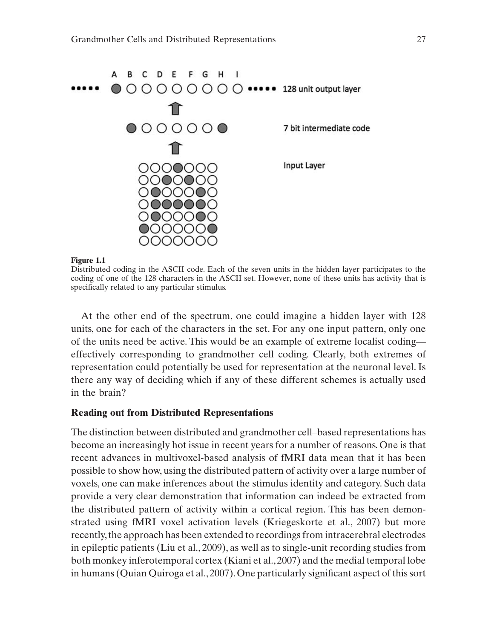

#### **Figure 1.1**

 Distributed coding in the ASCII code. Each of the seven units in the hidden layer participates to the coding of one of the 128 characters in the ASCII set. However, none of these units has activity that is specifically related to any particular stimulus.

 At the other end of the spectrum, one could imagine a hidden layer with 128 units, one for each of the characters in the set. For any one input pattern, only one of the units need be active. This would be an example of extreme localist coding effectively corresponding to grandmother cell coding. Clearly, both extremes of representation could potentially be used for representation at the neuronal level. Is there any way of deciding which if any of these different schemes is actually used in the brain?

#### **Reading out from Distributed Representations**

 The distinction between distributed and grandmother cell – based representations has become an increasingly hot issue in recent years for a number of reasons. One is that recent advances in multivoxel-based analysis of fMRI data mean that it has been possible to show how, using the distributed pattern of activity over a large number of voxels, one can make inferences about the stimulus identity and category. Such data provide a very clear demonstration that information can indeed be extracted from the distributed pattern of activity within a cortical region. This has been demonstrated using fMRI voxel activation levels (Kriegeskorte et al., 2007) but more recently, the approach has been extended to recordings from intracerebral electrodes in epileptic patients (Liu et al., 2009), as well as to single-unit recording studies from both monkey inferotemporal cortex (Kiani et al., 2007) and the medial temporal lobe in humans (Quian Quiroga et al., 2007). One particularly significant aspect of this sort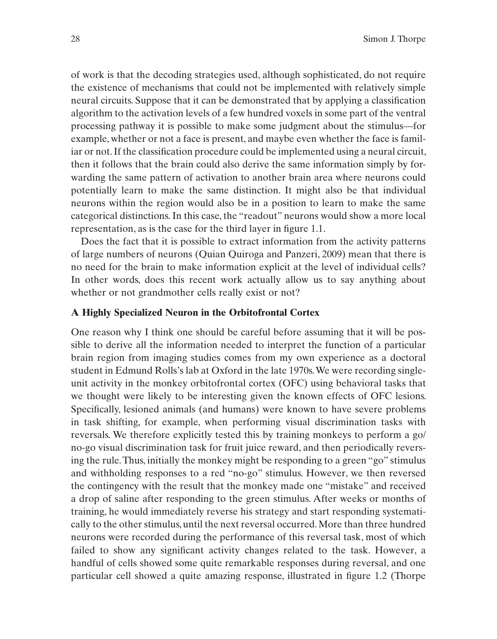of work is that the decoding strategies used, although sophisticated, do not require the existence of mechanisms that could not be implemented with relatively simple neural circuits. Suppose that it can be demonstrated that by applying a classification algorithm to the activation levels of a few hundred voxels in some part of the ventral processing pathway it is possible to make some judgment about the stimulus — for example, whether or not a face is present, and maybe even whether the face is familiar or not. If the classification procedure could be implemented using a neural circuit, then it follows that the brain could also derive the same information simply by forwarding the same pattern of activation to another brain area where neurons could potentially learn to make the same distinction. It might also be that individual neurons within the region would also be in a position to learn to make the same categorical distinctions. In this case, the " readout " neurons would show a more local representation, as is the case for the third layer in figure 1.1.

 Does the fact that it is possible to extract information from the activity patterns of large numbers of neurons (Quian Quiroga and Panzeri, 2009) mean that there is no need for the brain to make information explicit at the level of individual cells? In other words, does this recent work actually allow us to say anything about whether or not grandmother cells really exist or not?

## **A Highly Specialized Neuron in the Orbitofrontal Cortex**

 One reason why I think one should be careful before assuming that it will be possible to derive all the information needed to interpret the function of a particular brain region from imaging studies comes from my own experience as a doctoral student in Edmund Rolls's lab at Oxford in the late 1970s. We were recording singleunit activity in the monkey orbitofrontal cortex (OFC) using behavioral tasks that we thought were likely to be interesting given the known effects of OFC lesions. Specifically, lesioned animals (and humans) were known to have severe problems in task shifting, for example, when performing visual discrimination tasks with reversals. We therefore explicitly tested this by training monkeys to perform a go/ no-go visual discrimination task for fruit juice reward, and then periodically reversing the rule. Thus, initially the monkey might be responding to a green "go" stimulus and withholding responses to a red "no-go" stimulus. However, we then reversed the contingency with the result that the monkey made one " mistake " and received a drop of saline after responding to the green stimulus. After weeks or months of training, he would immediately reverse his strategy and start responding systematically to the other stimulus, until the next reversal occurred. More than three hundred neurons were recorded during the performance of this reversal task, most of which failed to show any significant activity changes related to the task. However, a handful of cells showed some quite remarkable responses during reversal, and one particular cell showed a quite amazing response, illustrated in figure 1.2 (Thorpe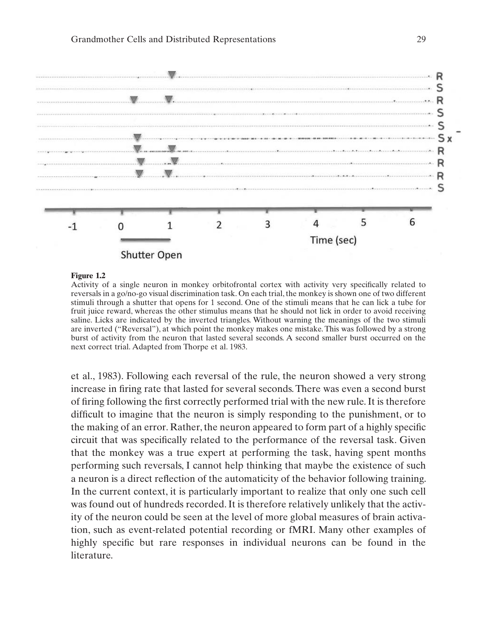

#### **Figure 1.2**

Activity of a single neuron in monkey orbitofrontal cortex with activity very specifically related to reversals in a go/no-go visual discrimination task. On each trial, the monkey is shown one of two different stimuli through a shutter that opens for 1 second. One of the stimuli means that he can lick a tube for fruit juice reward, whereas the other stimulus means that he should not lick in order to avoid receiving saline. Licks are indicated by the inverted triangles. Without warning the meanings of the two stimuli are inverted ("Reversal"), at which point the monkey makes one mistake. This was followed by a strong burst of activity from the neuron that lasted several seconds. A second smaller burst occurred on the next correct trial. Adapted from Thorpe et al. 1983.

et al., 1983). Following each reversal of the rule, the neuron showed a very strong increase in firing rate that lasted for several seconds. There was even a second burst of firing following the first correctly performed trial with the new rule. It is therefore difficult to imagine that the neuron is simply responding to the punishment, or to the making of an error. Rather, the neuron appeared to form part of a highly specific circuit that was specifically related to the performance of the reversal task. Given that the monkey was a true expert at performing the task, having spent months performing such reversals, I cannot help thinking that maybe the existence of such a neuron is a direct reflection of the automaticity of the behavior following training. In the current context, it is particularly important to realize that only one such cell was found out of hundreds recorded. It is therefore relatively unlikely that the activity of the neuron could be seen at the level of more global measures of brain activation, such as event-related potential recording or fMRI. Many other examples of highly specific but rare responses in individual neurons can be found in the literature.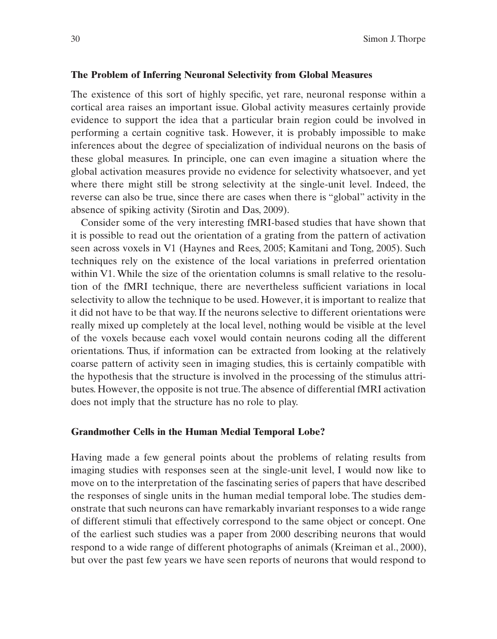#### **The Problem of Inferring Neuronal Selectivity from Global Measures**

The existence of this sort of highly specific, yet rare, neuronal response within a cortical area raises an important issue. Global activity measures certainly provide evidence to support the idea that a particular brain region could be involved in performing a certain cognitive task. However, it is probably impossible to make inferences about the degree of specialization of individual neurons on the basis of these global measures. In principle, one can even imagine a situation where the global activation measures provide no evidence for selectivity whatsoever, and yet where there might still be strong selectivity at the single-unit level. Indeed, the reverse can also be true, since there are cases when there is "global" activity in the absence of spiking activity (Sirotin and Das, 2009).

 Consider some of the very interesting fMRI-based studies that have shown that it is possible to read out the orientation of a grating from the pattern of activation seen across voxels in V1 (Haynes and Rees, 2005; Kamitani and Tong, 2005). Such techniques rely on the existence of the local variations in preferred orientation within V1. While the size of the orientation columns is small relative to the resolution of the fMRI technique, there are nevertheless sufficient variations in local selectivity to allow the technique to be used. However, it is important to realize that it did not have to be that way. If the neurons selective to different orientations were really mixed up completely at the local level, nothing would be visible at the level of the voxels because each voxel would contain neurons coding all the different orientations. Thus, if information can be extracted from looking at the relatively coarse pattern of activity seen in imaging studies, this is certainly compatible with the hypothesis that the structure is involved in the processing of the stimulus attributes. However, the opposite is not true. The absence of differential fMRI activation does not imply that the structure has no role to play.

#### **Grandmother Cells in the Human Medial Temporal Lobe?**

 Having made a few general points about the problems of relating results from imaging studies with responses seen at the single-unit level, I would now like to move on to the interpretation of the fascinating series of papers that have described the responses of single units in the human medial temporal lobe. The studies demonstrate that such neurons can have remarkably invariant responses to a wide range of different stimuli that effectively correspond to the same object or concept. One of the earliest such studies was a paper from 2000 describing neurons that would respond to a wide range of different photographs of animals (Kreiman et al., 2000), but over the past few years we have seen reports of neurons that would respond to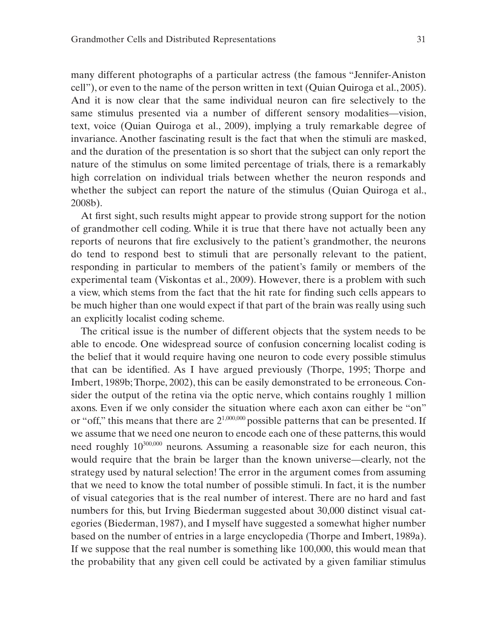many different photographs of a particular actress (the famous "Jennifer-Aniston") cell"), or even to the name of the person written in text (Quian Quiroga et al., 2005). And it is now clear that the same individual neuron can fire selectively to the same stimulus presented via a number of different sensory modalities—vision, text, voice (Quian Quiroga et al., 2009), implying a truly remarkable degree of invariance. Another fascinating result is the fact that when the stimuli are masked, and the duration of the presentation is so short that the subject can only report the nature of the stimulus on some limited percentage of trials, there is a remarkably high correlation on individual trials between whether the neuron responds and whether the subject can report the nature of the stimulus (Quian Quiroga et al., 2008b).

At first sight, such results might appear to provide strong support for the notion of grandmother cell coding. While it is true that there have not actually been any reports of neurons that fire exclusively to the patient's grandmother, the neurons do tend to respond best to stimuli that are personally relevant to the patient, responding in particular to members of the patient's family or members of the experimental team (Viskontas et al., 2009). However, there is a problem with such a view, which stems from the fact that the hit rate for finding such cells appears to be much higher than one would expect if that part of the brain was really using such an explicitly localist coding scheme.

 The critical issue is the number of different objects that the system needs to be able to encode. One widespread source of confusion concerning localist coding is the belief that it would require having one neuron to code every possible stimulus that can be identified. As I have argued previously (Thorpe, 1995; Thorpe and Imbert, 1989b; Thorpe, 2002), this can be easily demonstrated to be erroneous. Consider the output of the retina via the optic nerve, which contains roughly 1 million axons. Even if we only consider the situation where each axon can either be "on" or "off," this means that there are  $2^{1,000,000}$  possible patterns that can be presented. If we assume that we need one neuron to encode each one of these patterns, this would need roughly  $10^{300,000}$  neurons. Assuming a reasonable size for each neuron, this would require that the brain be larger than the known universe—clearly, not the strategy used by natural selection! The error in the argument comes from assuming that we need to know the total number of possible stimuli. In fact, it is the number of visual categories that is the real number of interest. There are no hard and fast numbers for this, but Irving Biederman suggested about 30,000 distinct visual categories (Biederman, 1987), and I myself have suggested a somewhat higher number based on the number of entries in a large encyclopedia (Thorpe and Imbert, 1989a). If we suppose that the real number is something like 100,000, this would mean that the probability that any given cell could be activated by a given familiar stimulus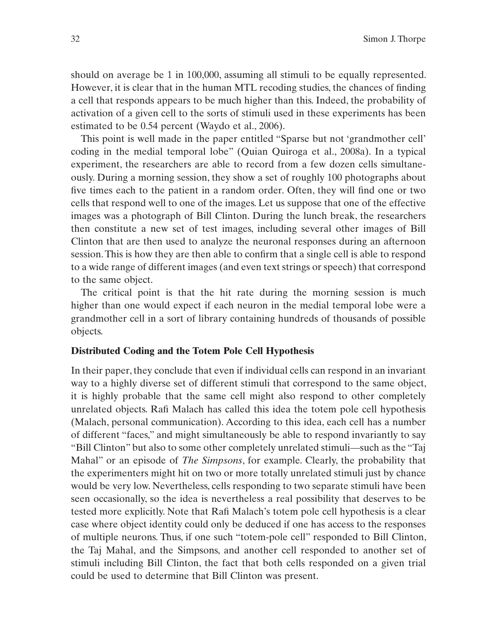should on average be 1 in 100,000, assuming all stimuli to be equally represented. However, it is clear that in the human MTL recoding studies, the chances of finding a cell that responds appears to be much higher than this. Indeed, the probability of activation of a given cell to the sorts of stimuli used in these experiments has been estimated to be 0.54 percent (Waydo et al., 2006).

This point is well made in the paper entitled "Sparse but not 'grandmother cell' coding in the medial temporal lobe" (Quian Quiroga et al., 2008a). In a typical experiment, the researchers are able to record from a few dozen cells simultaneously. During a morning session, they show a set of roughly 100 photographs about five times each to the patient in a random order. Often, they will find one or two cells that respond well to one of the images. Let us suppose that one of the effective images was a photograph of Bill Clinton. During the lunch break, the researchers then constitute a new set of test images, including several other images of Bill Clinton that are then used to analyze the neuronal responses during an afternoon session. This is how they are then able to confirm that a single cell is able to respond to a wide range of different images (and even text strings or speech) that correspond to the same object.

 The critical point is that the hit rate during the morning session is much higher than one would expect if each neuron in the medial temporal lobe were a grandmother cell in a sort of library containing hundreds of thousands of possible objects.

## **Distributed Coding and the Totem Pole Cell Hypothesis**

 In their paper, they conclude that even if individual cells can respond in an invariant way to a highly diverse set of different stimuli that correspond to the same object, it is highly probable that the same cell might also respond to other completely unrelated objects. Rafi Malach has called this idea the totem pole cell hypothesis (Malach, personal communication). According to this idea, each cell has a number of different "faces," and might simultaneously be able to respond invariantly to say " Bill Clinton " but also to some other completely unrelated stimuli — such as the " Taj Mahal" or an episode of *The Simpsons*, for example. Clearly, the probability that the experimenters might hit on two or more totally unrelated stimuli just by chance would be very low. Nevertheless, cells responding to two separate stimuli have been seen occasionally, so the idea is nevertheless a real possibility that deserves to be tested more explicitly. Note that Rafi Malach's totem pole cell hypothesis is a clear case where object identity could only be deduced if one has access to the responses of multiple neurons. Thus, if one such " totem-pole cell " responded to Bill Clinton, the Taj Mahal, and the Simpsons, and another cell responded to another set of stimuli including Bill Clinton, the fact that both cells responded on a given trial could be used to determine that Bill Clinton was present.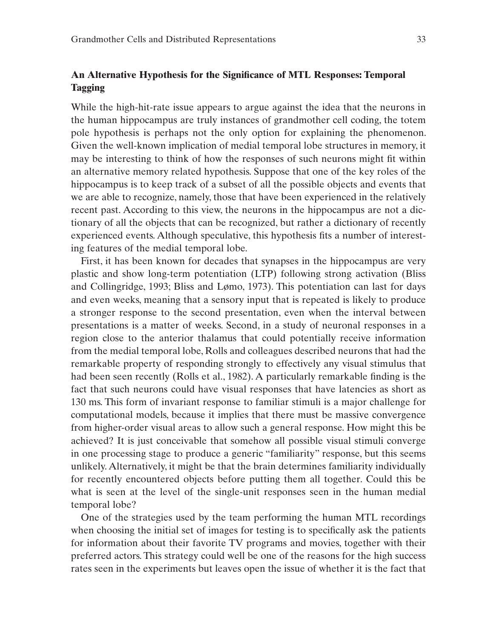# An Alternative Hypothesis for the Significance of MTL Responses: Temporal **Tagging**

 While the high-hit-rate issue appears to argue against the idea that the neurons in the human hippocampus are truly instances of grandmother cell coding, the totem pole hypothesis is perhaps not the only option for explaining the phenomenon. Given the well-known implication of medial temporal lobe structures in memory, it may be interesting to think of how the responses of such neurons might fit within an alternative memory related hypothesis. Suppose that one of the key roles of the hippocampus is to keep track of a subset of all the possible objects and events that we are able to recognize, namely, those that have been experienced in the relatively recent past. According to this view, the neurons in the hippocampus are not a dictionary of all the objects that can be recognized, but rather a dictionary of recently experienced events. Although speculative, this hypothesis fits a number of interesting features of the medial temporal lobe.

 First, it has been known for decades that synapses in the hippocampus are very plastic and show long-term potentiation (LTP) following strong activation (Bliss and Collingridge, 1993; Bliss and Lømo, 1973). This potentiation can last for days and even weeks, meaning that a sensory input that is repeated is likely to produce a stronger response to the second presentation, even when the interval between presentations is a matter of weeks. Second, in a study of neuronal responses in a region close to the anterior thalamus that could potentially receive information from the medial temporal lobe, Rolls and colleagues described neurons that had the remarkable property of responding strongly to effectively any visual stimulus that had been seen recently (Rolls et al., 1982). A particularly remarkable finding is the fact that such neurons could have visual responses that have latencies as short as 130 ms. This form of invariant response to familiar stimuli is a major challenge for computational models, because it implies that there must be massive convergence from higher-order visual areas to allow such a general response. How might this be achieved? It is just conceivable that somehow all possible visual stimuli converge in one processing stage to produce a generic " familiarity " response, but this seems unlikely. Alternatively, it might be that the brain determines familiarity individually for recently encountered objects before putting them all together. Could this be what is seen at the level of the single-unit responses seen in the human medial temporal lobe?

 One of the strategies used by the team performing the human MTL recordings when choosing the initial set of images for testing is to specifically ask the patients for information about their favorite TV programs and movies, together with their preferred actors. This strategy could well be one of the reasons for the high success rates seen in the experiments but leaves open the issue of whether it is the fact that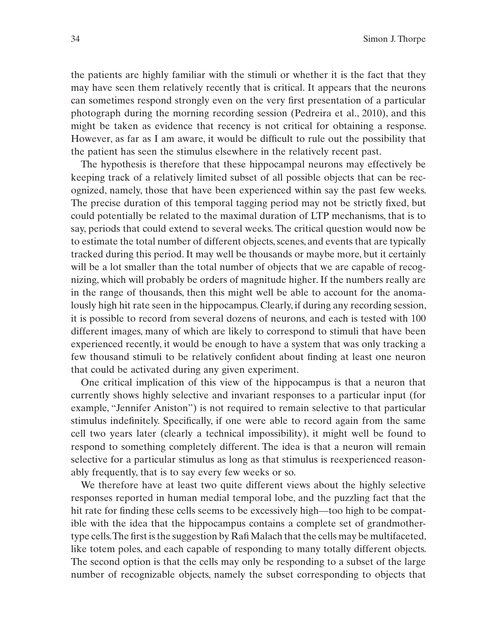the patients are highly familiar with the stimuli or whether it is the fact that they may have seen them relatively recently that is critical. It appears that the neurons can sometimes respond strongly even on the very first presentation of a particular photograph during the morning recording session (Pedreira et al., 2010), and this might be taken as evidence that recency is not critical for obtaining a response. However, as far as I am aware, it would be difficult to rule out the possibility that the patient has seen the stimulus elsewhere in the relatively recent past.

 The hypothesis is therefore that these hippocampal neurons may effectively be keeping track of a relatively limited subset of all possible objects that can be recognized, namely, those that have been experienced within say the past few weeks. The precise duration of this temporal tagging period may not be strictly fixed, but could potentially be related to the maximal duration of LTP mechanisms, that is to say, periods that could extend to several weeks. The critical question would now be to estimate the total number of different objects, scenes, and events that are typically tracked during this period. It may well be thousands or maybe more, but it certainly will be a lot smaller than the total number of objects that we are capable of recognizing, which will probably be orders of magnitude higher. If the numbers really are in the range of thousands, then this might well be able to account for the anomalously high hit rate seen in the hippocampus. Clearly, if during any recording session, it is possible to record from several dozens of neurons, and each is tested with 100 different images, many of which are likely to correspond to stimuli that have been experienced recently, it would be enough to have a system that was only tracking a few thousand stimuli to be relatively confident about finding at least one neuron that could be activated during any given experiment.

 One critical implication of this view of the hippocampus is that a neuron that currently shows highly selective and invariant responses to a particular input (for example, "Jennifer Aniston") is not required to remain selective to that particular stimulus indefinitely. Specifically, if one were able to record again from the same cell two years later (clearly a technical impossibility), it might well be found to respond to something completely different. The idea is that a neuron will remain selective for a particular stimulus as long as that stimulus is reexperienced reasonably frequently, that is to say every few weeks or so.

 We therefore have at least two quite different views about the highly selective responses reported in human medial temporal lobe, and the puzzling fact that the hit rate for finding these cells seems to be excessively high—too high to be compatible with the idea that the hippocampus contains a complete set of grandmothertype cells. The first is the suggestion by Rafi Malach that the cells may be multifaceted, like totem poles, and each capable of responding to many totally different objects. The second option is that the cells may only be responding to a subset of the large number of recognizable objects, namely the subset corresponding to objects that